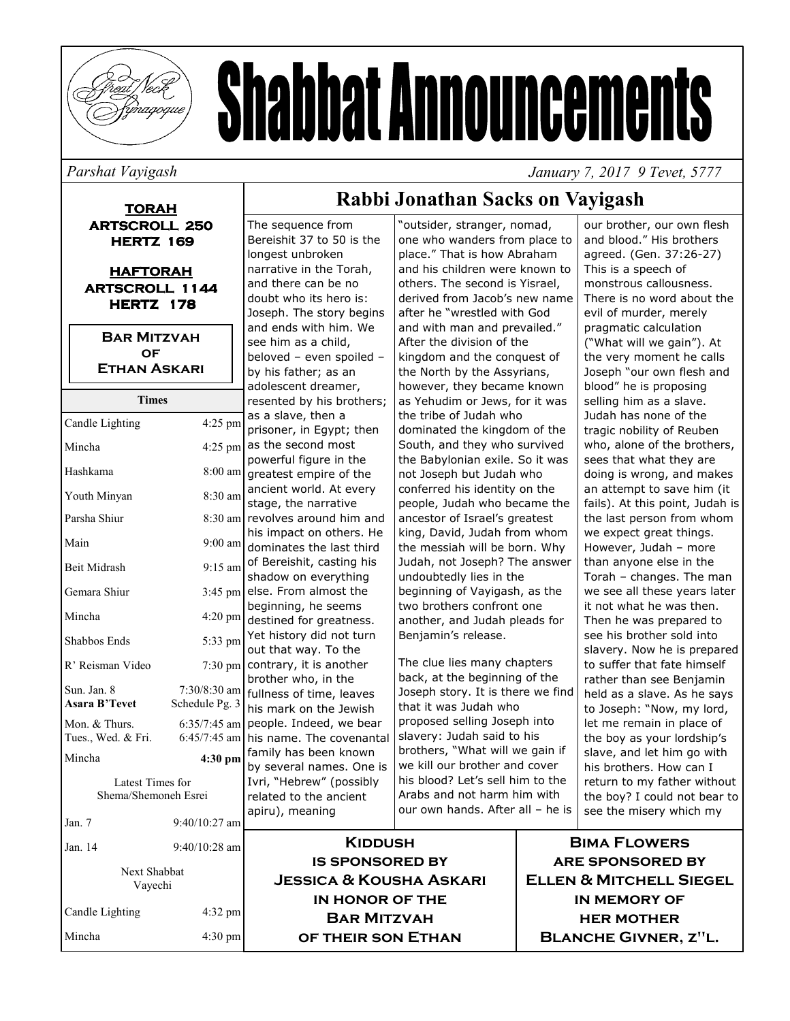

# **Shabbat Announcements**

*Parshat Vayigash* 

<u>TORAH</u> **ARTSCROLL 250 HERTZ 169** 

<u> HAFTORAH</u> **ARTSCROLL 1144 HERTZ 178** 

**BAR MITZVAH ( ETHAN ASKARI** 

| <b>Times</b>            |                 | u<br>r   |
|-------------------------|-----------------|----------|
|                         |                 |          |
| Candle Lighting         | 4:25 pm         | a<br>p   |
| Mincha                  | 4:25 pm         | a        |
| Hashkama                | 8:00 am         | p<br>g   |
| Youth Minyan            | 8:30 am         | a<br>si  |
| Parsha Shiur            | 8:30 am         | rε       |
| Main                    | $9:00$ am       | h<br>d   |
| <b>Beit Midrash</b>     | $9:15$ am       | O,<br>sl |
| Gemara Shiur            | 3:45 pm         | e        |
| Mincha                  | 4:20 pm         | b<br>d   |
| Shabbos Ends            | 5:33 pm         | Y<br>o   |
| R' Reisman Video        | 7:30 pm         | C(<br>b  |
| Sun. Jan. 8             | $7:30/8:30$ am  |          |
| <b>Asara B'Tevet</b>    | Schedule Pg. 3  | fι<br>h  |
| Mon. & Thurs.           | $6:35/7:45$ am  | p        |
| Tues., Wed. & Fri.      | $6:45/7:45$ am  | h        |
| Mincha                  | 4:30 pm         | fa<br>b  |
| Latest Times for        |                 |          |
| Shema/Shemoneh Esrei    |                 | I١<br>r  |
| Jan. $7$                | $9:40/10:27$ am | а        |
| Jan. 14                 | $9:40/10:28$ am |          |
| Next Shabbat<br>Vayechi |                 |          |
| Candle Lighting         | 4:32 pm         |          |

4:30 pm

Mincha

The sequence from Bereishit 37 to 50 is the longest unbroken narrative in the Torah, and there can be no doubt who its hero is: Joseph. The story begins and ends with him. We see him as a child, beloved – even spoiled – by his father; as an adolescent dreamer, resented by his brothers; as a slave, then a prisoner, in Egypt; then as the second most powerful figure in the greatest empire of the ancient world. At every stage, the narrative revolves around him and his impact on others. He dominates the last third of Bereishit, casting his shadow on everything else. From almost the beginning, he seems destined for greatness. Yet history did not turn out that way. To the contrary, it is another brother who, in the fullness of time, leaves his mark on the Jewish people. Indeed, we bear his name. The covenantal family has been known by several names. One is Ivri, "Hebrew" (possibly related to the ancient apiru), meaning m|

## **Rabbi Jonathan Sacks on Vayigash**

*January 7, 2017 9 Tevet, 5777* 

"outsider, stranger, nomad, one who wanders from place to place." That is how Abraham and his children were known to others. The second is Yisrael, derived from Jacob's new name after he "wrestled with God and with man and prevailed." After the division of the kingdom and the conquest of the North by the Assyrians, however, they became known as Yehudim or Jews, for it was the tribe of Judah who dominated the kingdom of the South, and they who survived the Babylonian exile. So it was not Joseph but Judah who conferred his identity on the people, Judah who became the ancestor of Israel's greatest king, David, Judah from whom the messiah will be born. Why Judah, not Joseph? The answer undoubtedly lies in the beginning of Vayigash, as the two brothers confront one another, and Judah pleads for Benjamin's release.

The clue lies many chapters back, at the beginning of the Joseph story. It is there we find that it was Judah who proposed selling Joseph into slavery: Judah said to his brothers, "What will we gain if we kill our brother and cover his blood? Let's sell him to the Arabs and not harm him with our own hands. After all – he is

our brother, our own flesh and blood." His brothers agreed. (Gen. 37:26=27) This is a speech of monstrous callousness. There is no word about the evil of murder, merely pragmatic calculation ("What will we gain"). At the very moment he calls Joseph "our own flesh and blood" he is proposing selling him as a slave. Judah has none of the tragic nobility of Reuben who, alone of the brothers, sees that what they are doing is wrong, and makes an attempt to save him (it fails). At this point, Judah is the last person from whom we expect great things. However, Judah – more than anyone else in the Torah – changes. The man we see all these years later it not what he was then. Then he was prepared to see his brother sold into slavery. Now he is prepared to suffer that fate himself rather than see Benjamin held as a slave. As he says to Joseph: "Now, my lord, let me remain in place of the boy as your lordship's slave, and let him go with his brothers. How can I return to my father without the boy? I could not bear to see the misery which my

**KIDDUSH IS SPONSORED BY JESSICA & KOUSHA ASKARI IN HONOR OF THE BAR MITZVAH OF THEIR SON ETHAN** 

**BIMA FLOWERS ARE SPONSORED BY ELLEN & MITCHELL SIEGEL IN MEMORY OF HER MOTHER BLANCHE GIVNER, Z"L.**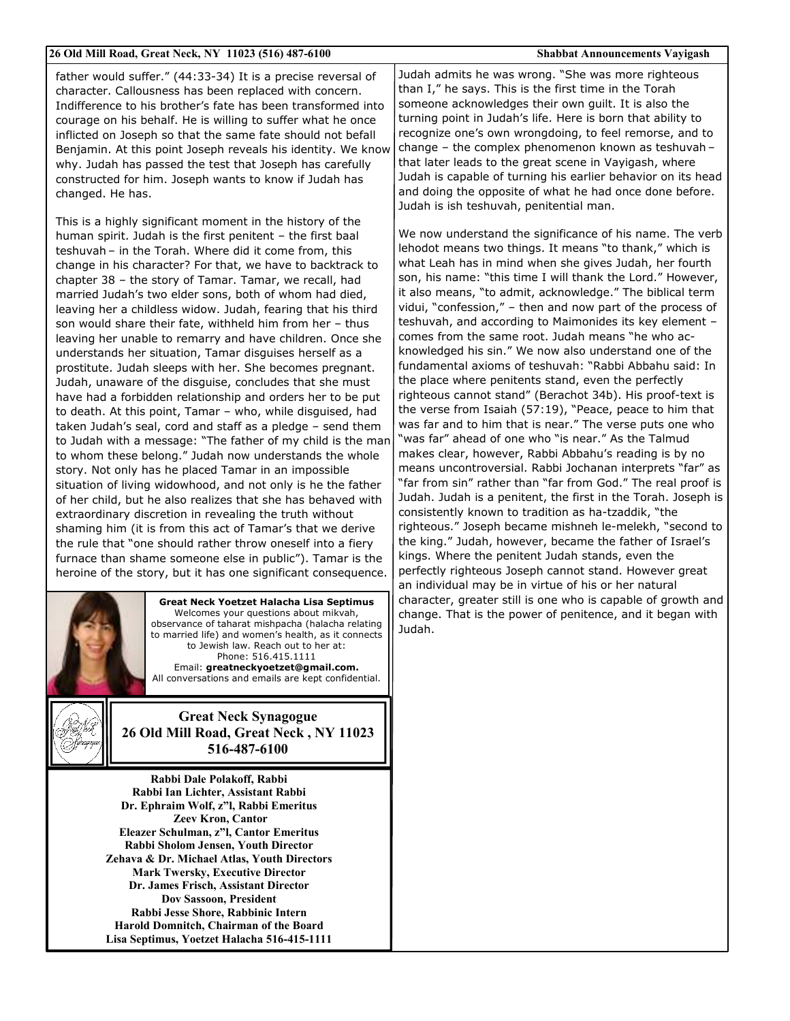| 26 Old Mill Road, Great Neck, NY 11023 (516) 487-6100                                                                                                                                                                                                                                                                                                                                                                                                                                                                                                                                                                                                                                                                                                                                                                                                                                                                                                                                                                                                                                                                                                                                                                                                    | <b>Shabbat Announcements Vayigash</b>                                                                                                                                                                                                                                                                                                                                                                                                                                                                                                                                                                                                                                                                                                                                                                                                                                                                                                                                                                                                                                                                                                                                  |
|----------------------------------------------------------------------------------------------------------------------------------------------------------------------------------------------------------------------------------------------------------------------------------------------------------------------------------------------------------------------------------------------------------------------------------------------------------------------------------------------------------------------------------------------------------------------------------------------------------------------------------------------------------------------------------------------------------------------------------------------------------------------------------------------------------------------------------------------------------------------------------------------------------------------------------------------------------------------------------------------------------------------------------------------------------------------------------------------------------------------------------------------------------------------------------------------------------------------------------------------------------|------------------------------------------------------------------------------------------------------------------------------------------------------------------------------------------------------------------------------------------------------------------------------------------------------------------------------------------------------------------------------------------------------------------------------------------------------------------------------------------------------------------------------------------------------------------------------------------------------------------------------------------------------------------------------------------------------------------------------------------------------------------------------------------------------------------------------------------------------------------------------------------------------------------------------------------------------------------------------------------------------------------------------------------------------------------------------------------------------------------------------------------------------------------------|
| father would suffer." (44:33-34) It is a precise reversal of<br>character. Callousness has been replaced with concern.<br>Indifference to his brother's fate has been transformed into<br>courage on his behalf. He is willing to suffer what he once<br>inflicted on Joseph so that the same fate should not befall<br>Benjamin. At this point Joseph reveals his identity. We know<br>why. Judah has passed the test that Joseph has carefully<br>constructed for him. Joseph wants to know if Judah has<br>changed. He has.                                                                                                                                                                                                                                                                                                                                                                                                                                                                                                                                                                                                                                                                                                                           | Judah admits he was wrong. "She was more righteous<br>than I," he says. This is the first time in the Torah<br>someone acknowledges their own guilt. It is also the<br>turning point in Judah's life. Here is born that ability to<br>recognize one's own wrongdoing, to feel remorse, and to<br>change - the complex phenomenon known as teshuvah -<br>that later leads to the great scene in Vayigash, where<br>Judah is capable of turning his earlier behavior on its head<br>and doing the opposite of what he had once done before.<br>Judah is ish teshuvah, penitential man.                                                                                                                                                                                                                                                                                                                                                                                                                                                                                                                                                                                   |
| This is a highly significant moment in the history of the<br>human spirit. Judah is the first penitent - the first baal<br>teshuvah - in the Torah. Where did it come from, this<br>change in his character? For that, we have to backtrack to<br>chapter 38 – the story of Tamar. Tamar, we recall, had<br>married Judah's two elder sons, both of whom had died,<br>leaving her a childless widow. Judah, fearing that his third<br>son would share their fate, withheld him from her - thus<br>leaving her unable to remarry and have children. Once she<br>understands her situation, Tamar disguises herself as a<br>prostitute. Judah sleeps with her. She becomes pregnant.<br>Judah, unaware of the disguise, concludes that she must<br>have had a forbidden relationship and orders her to be put<br>to death. At this point, Tamar - who, while disguised, had<br>taken Judah's seal, cord and staff as a pledge - send them<br>to Judah with a message: "The father of my child is the man<br>to whom these belong." Judah now understands the whole<br>story. Not only has he placed Tamar in an impossible<br>situation of living widowhood, and not only is he the father<br>of her child, but he also realizes that she has behaved with | We now understand the significance of his name. The verb<br>lehodot means two things. It means "to thank," which is<br>what Leah has in mind when she gives Judah, her fourth<br>son, his name: "this time I will thank the Lord." However,<br>it also means, "to admit, acknowledge." The biblical term<br>vidui, "confession," $-$ then and now part of the process of<br>teshuvah, and according to Maimonides its key element -<br>comes from the same root. Judah means "he who ac-<br>knowledged his sin." We now also understand one of the<br>fundamental axioms of teshuvah: "Rabbi Abbahu said: In<br>the place where penitents stand, even the perfectly<br>righteous cannot stand" (Berachot 34b). His proof-text is<br>the verse from Isaiah (57:19), "Peace, peace to him that<br>was far and to him that is near." The verse puts one who<br>"was far" ahead of one who "is near." As the Talmud<br>makes clear, however, Rabbi Abbahu's reading is by no<br>means uncontroversial. Rabbi Jochanan interprets "far" as<br>"far from sin" rather than "far from God." The real proof is<br>Judah. Judah is a penitent, the first in the Torah. Joseph is |
| extraordinary discretion in revealing the truth without<br>shaming him (it is from this act of Tamar's that we derive<br>the rule that "one should rather throw oneself into a fiery<br>furnace than shame someone else in public"). Tamar is the<br>heroine of the story, but it has one significant consequence.                                                                                                                                                                                                                                                                                                                                                                                                                                                                                                                                                                                                                                                                                                                                                                                                                                                                                                                                       | consistently known to tradition as ha-tzaddik, "the<br>righteous." Joseph became mishneh le-melekh, "second to<br>the king." Judah, however, became the father of Israel's<br>kings. Where the penitent Judah stands, even the<br>perfectly righteous Joseph cannot stand. However great                                                                                                                                                                                                                                                                                                                                                                                                                                                                                                                                                                                                                                                                                                                                                                                                                                                                               |



Great Neck Yoetzet Halacha Lisa Septimus Welcomes your questions about mikvah, observance of taharat mishpacha (halacha relating to married life) and women's health, as it connects to Jewish law. Reach out to her at: Phone: 516.415.1111 Email: greatneckyoetzet@gmail.com. || All conversations and emails are kept confidential.



**Great Neck Synagogue** 26 Old Mill Road, Great Neck , NY 11023 516-487-6100

**Rabbi Dale Polakoff, Rabbi Rabbi Ian Lichter, Assistant Rabbi Dr. Ephraim Wolf, z"l, Rabbi Emeritus Zeev Kron, Cantor** Eleazer Schulman, z"l, Cantor Emeritus **Rabbi Sholom Jensen, Youth Director Zehava & Dr. Michael Atlas, Youth Directors Mark Twersky, Executive Director** Dr. James Frisch, Assistant Director **Dov Sassoon, President Rabbi Jesse Shore, Rabbinic Intern Harold Domnitch, Chairman of the Board** Lisa Septimus, Yoetzet Halacha 516-415-1111

We now understand the significance of his name. The verb means uncontroversial. Rabbi Jochanan interprets "far" as "far from sin" rather than "far from God." The real proof is Judah. Judah is a penitent, the first in the Torah. Joseph is righteous." Joseph became mishneh le=melekh, "second to an individual may be in virtue of his or her natural character, greater still is one who is capable of growth and change. That is the power of penitence, and it began with Judah.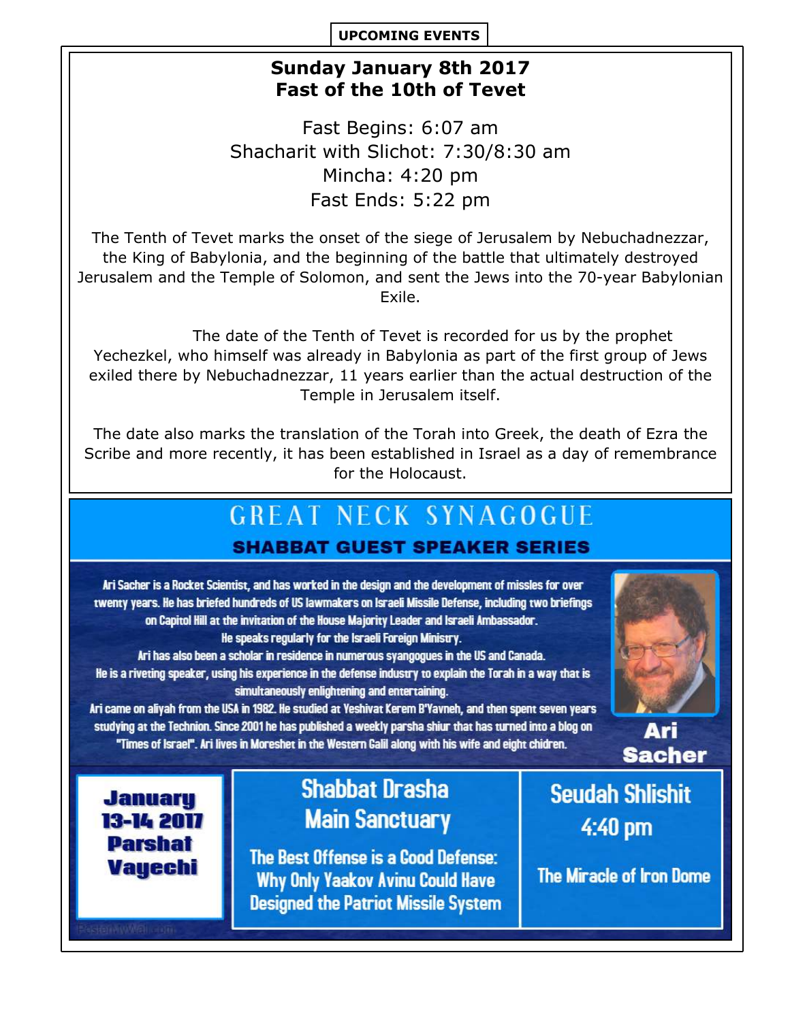**UPCOMING EVENTS** 

## **Sunday January 8th 2017 Fast of the 10th of Tevet**

Fast Begins: 6:07 am Shacharit with Slichot: 7:30/8:30 am Mincha:  $4:20$  pm Fast Ends: 5:22 pm

The Tenth of Tevet marks the onset of the siege of Jerusalem by Nebuchadnezzar, the King of Babylonia, and the beginning of the battle that ultimately destroyed Jerusalem and the Temple of Solomon, and sent the Jews into the 70-year Babylonian Exile.

The date of the Tenth of Tevet is recorded for us by the prophet Yechezkel, who himself was already in Babylonia as part of the first group of Jews exiled there by Nebuchadnezzar, 11 years earlier than the actual destruction of the Temple in Jerusalem itself.

The date also marks the translation of the Torah into Greek, the death of Ezra the Scribe and more recently, it has been established in Israel as a day of remembrance for the Holocaust.

# **GREAT NECK SYNAGOGUE**

## **SHABBAT GUEST SPEAKER SERIES**

Ari Sacher is a Rocket Scientist, and has worked in the design and the development of missles for over twenty years. He has briefed hundreds of US lawmakers on Israeli Missile Defense, including two briefings on Capitol Hill at the invitation of the House Majority Leader and Israeli Ambassador. He speaks regularly for the Israeli Foreign Ministry.

Ari has also been a scholar in residence in numerous syangogues in the US and Canada. He is a riveting speaker, using his experience in the defense industry to explain the Torah in a way that is simultaneously enlightening and entertaining.

Ari came on aliyah from the USA in 1982. He studied at Yeshivat Kerem B'Yavneh, and then spent seven years studying at the Technion. Since 2001 he has published a weekly parsha shiur that has turned into a blog on "Times of Israel". Ari lives in Moreshet in the Western Galil along with his wife and eight chidren.

Ari **Sacher** 

**January** 13-14 2017 **Parshat Vayechi** 

## **Shabbat Drasha Main Sanctuary**

The Best Offense is a Good Defense: **Why Only Yaakov Avinu Could Have Designed the Patriot Missile System**  **Seudah Shlishit** 4:40 pm

The Miracle of Iron Dome

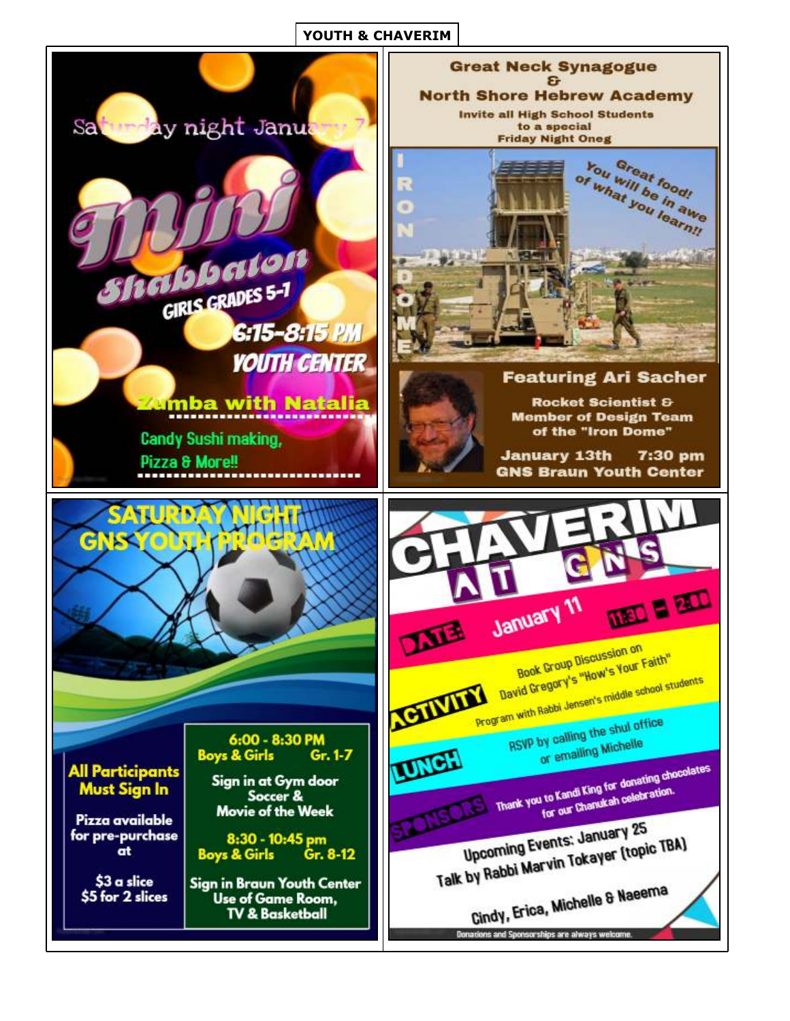#### YOUTH & CHAVERIM

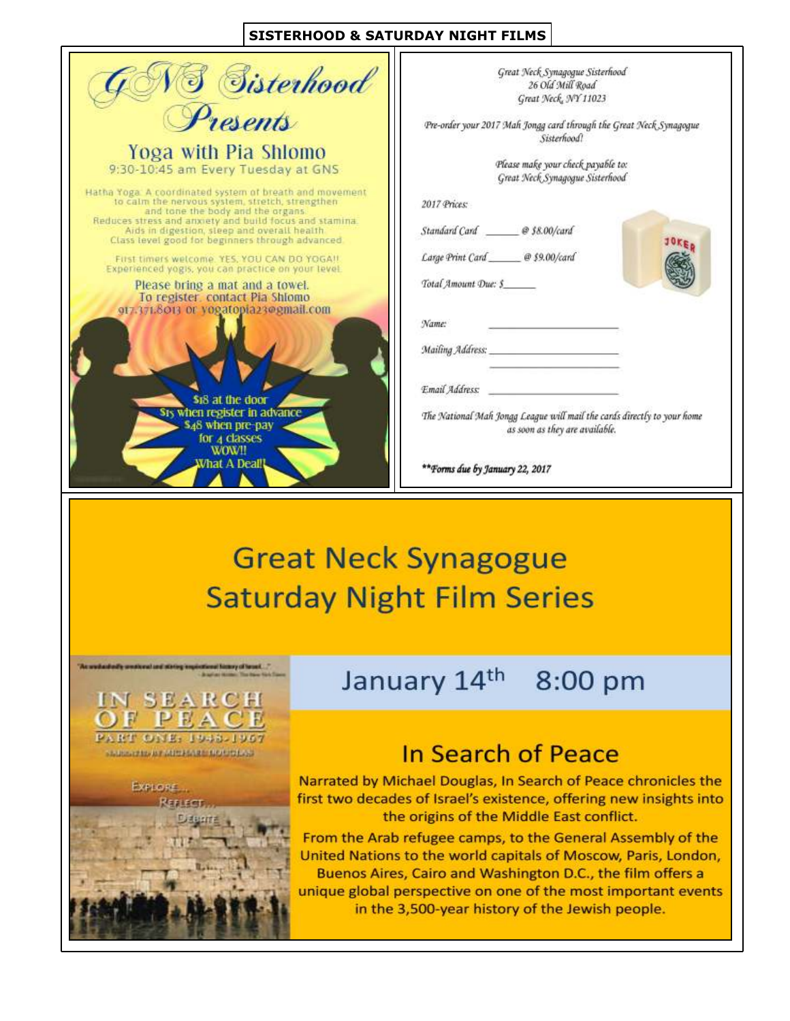| <b>Sisterhood</b><br>resents<br>Yoga with Pia Shlomo<br>9:30-10:45 am Every Tuesday at GNS<br>Hatha Yoga. A coordinated system of breath and movement<br>to calm the nervous system, stretch, strengthen<br>and tone the body and the organs.<br>Reduces stress and anxiety and build focus and stamina.<br>Aids in digestion, sleep and overall health.<br>Class level good for beginners through advanced<br>First timers welcome. YES, YOU CAN DO YOGA!!<br>Experienced yogis, you can practice on your level.<br>Please bring a mat and a towel.<br>To register, contact Pia Shlomo<br>917.371.8013 or vogatopia23@gmail.com<br>\$18 at the door<br>Sis when register in advance<br>\$48 when pre-pay<br>for 4 classes<br>wow!!!<br>What A Deall | Great Neck Synagogue Sisterhood<br>26 Old Mill Road<br>Great Neck, NY 11023<br>Pre-order your 2017 Mah Jongg card through the Great Neck Synagogue<br>Sisterhood!<br>Please make your check payable to:<br>Great Neck Synagogue Sisterhood<br>2017 Prices:<br>Standard Card @ \$8.00/card<br>Large Print Card @ \$9.00/card<br>Total Amount Due: \$<br>Name:<br>Email Address:<br>The National Mah Jongg League will mail the cards directly to your home<br>as soon as they are available.<br>** Forms due by January 22, 2017 |  |
|------------------------------------------------------------------------------------------------------------------------------------------------------------------------------------------------------------------------------------------------------------------------------------------------------------------------------------------------------------------------------------------------------------------------------------------------------------------------------------------------------------------------------------------------------------------------------------------------------------------------------------------------------------------------------------------------------------------------------------------------------|---------------------------------------------------------------------------------------------------------------------------------------------------------------------------------------------------------------------------------------------------------------------------------------------------------------------------------------------------------------------------------------------------------------------------------------------------------------------------------------------------------------------------------|--|
| <b>Great Neck Synagogue</b><br><b>Saturday Night Film Series</b>                                                                                                                                                                                                                                                                                                                                                                                                                                                                                                                                                                                                                                                                                     |                                                                                                                                                                                                                                                                                                                                                                                                                                                                                                                                 |  |

 $\mid$ SISTERHOOD & SATURDAY NIGHT FILMS  $\mid$ 

IN SEARCH PEAC ONE. AUGUST 12, BY MITHERED BOOTLE EXPLORE. **Realest** 

# In Search of Peace

January 14th 8:00 pm

Narrated by Michael Douglas, In Search of Peace chronicles the first two decades of Israel's existence, offering new insights into the origins of the Middle East conflict.

From the Arab refugee camps, to the General Assembly of the United Nations to the world capitals of Moscow, Paris, London, Buenos Aires, Cairo and Washington D.C., the film offers a unique global perspective on one of the most important events in the 3,500-year history of the Jewish people.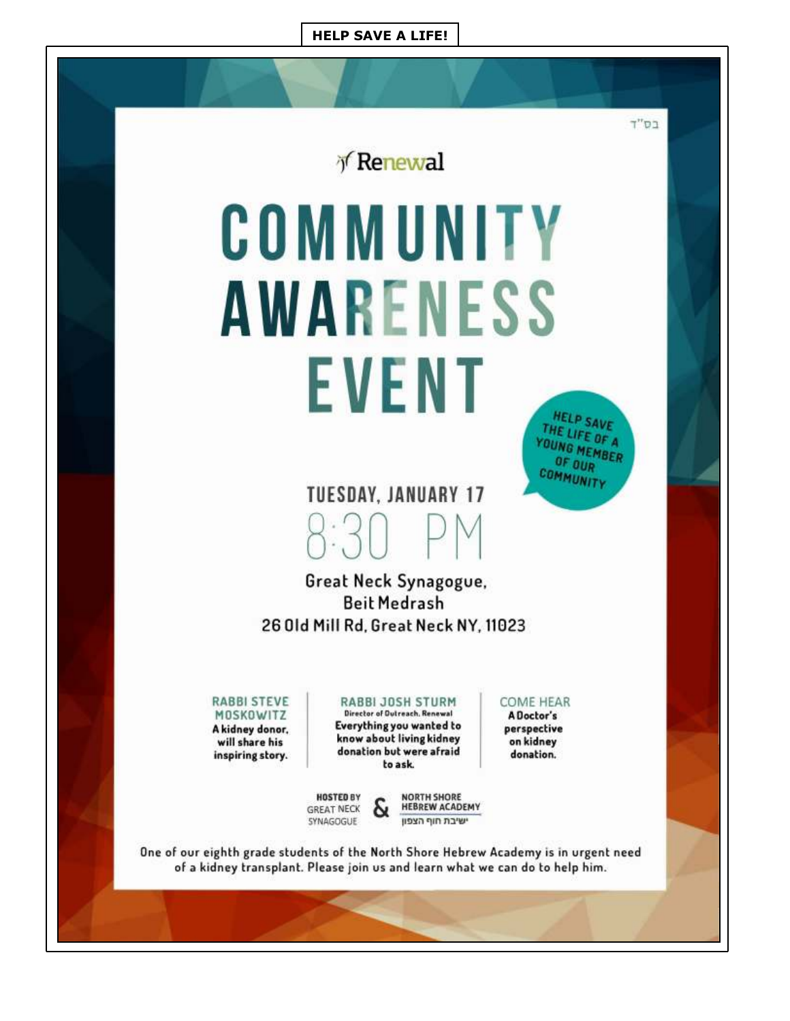#### **HELP SAVE A LIFE!**

בס"ד

*M* Renewal

# **COMMUNITY AWARENESS** EVENT **HELP SAVE** THE LIFE OF A

**TUESDAY, JANUARY 17** 

Great Neck Synagogue, **Beit Medrash** 26 Old Mill Rd. Great Neck NY. 11023

**RABBI STEVE** MOSKOWITZ A kidney donor, will share his inspiring story.

RABBI JOSH STURM Director of Outreach, Renewal Everything you wanted to know about living kidney donation but were afraid to ask.

**COME HEAR** A Doctor's perspective on kidney donation.

**YOUNG MEMBER** OF OUR **COMMUNITY** 

**HOSTED BY GREAT NECK** SYNAGOGUE

NORTH SHORE ୡ **HEBREW ACADEMY** ישיבת חוף הצפון

One of our eighth grade students of the North Shore Hebrew Academy is in urgent need of a kidney transplant. Please join us and learn what we can do to help him.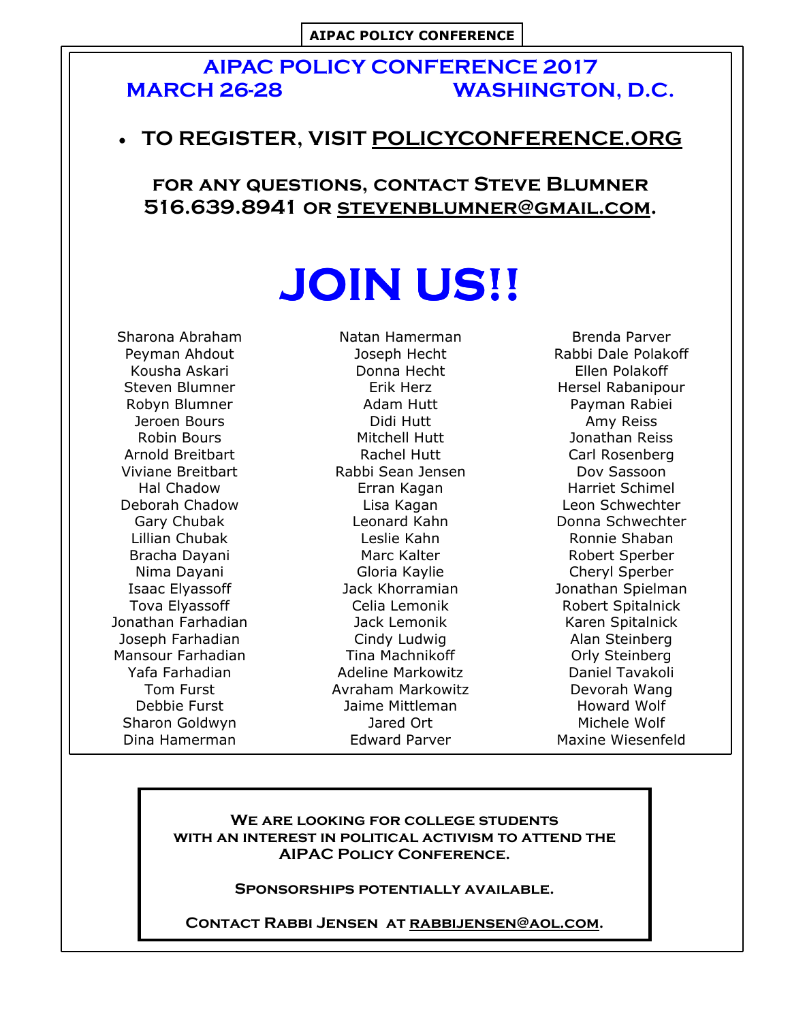#### **AIPAC POLICY CONFERENCE 2017 MARCH 26-2 678 WASHINGTON, D.C.**

### **• TO REGISTER, VISIT POLICYCONFERENCE.ORG**

**FOR ANY QUESTIONS, CONTACT STEVE BLUMNER** 516.639.8941 OR STEVENBLUMNER@GMAIL.COM.

# **JOIN US!!**

Sharona Abraham Peyman Ahdout Kousha Askari Steven Blumner Robyn Blumner Jeroen Bours Robin Bours Arnold Breitbart Viviane Breitbart Hal Chadow Deborah Chadow Gary Chubak Lillian Chubak Bracha Dayani Nima Dayani Isaac Elyassoff Tova Elyassoff Jonathan Farhadian Joseph Farhadian Mansour Farhadian Yafa Farhadian Tom Furst Debbie Furst Sharon Goldwyn Dina Hamerman

Natan Hamerman Joseph Hecht Donna Hecht Erik Herz Adam Hutt Didi Hutt Mitchell Hutt Rachel Hutt Rabbi Sean Jensen Erran Kagan Lisa Kagan Leonard Kahn Leslie Kahn Marc Kalter Gloria Kaylie Jack Khorramian Celia Lemonik Jack Lemonik Cindy Ludwig Tina Machnikoff Adeline Markowitz Avraham Markowitz Jaime Mittleman Jared Ort Edward Parver

Brenda Parver Rabbi Dale Polakoff Ellen Polakoff Hersel Rabanipour Payman Rabiei Amy Reiss Jonathan Reiss Carl Rosenberg Dov Sassoon Harriet Schimel Leon Schwechter Donna Schwechter Ronnie Shaban Robert Sperber Cheryl Sperber Jonathan Spielman Robert Spitalnick Karen Spitalnick Alan Steinberg Orly Steinberg Daniel Tavakoli Devorah Wang Howard Wolf Michele Wolf Maxine Wiesenfeld

#### **WE ARE LOOKING FOR COLLEGE STUDENTS WITH AN INTEREST IN POLITICAL ACTIVISM TO ATTEND THE AIPAC POLICY CONFERENCE.**

**SPONSORSHIPS POTENTIALLY AVAILABLE.** 

CONTACT RABBI JENSEN AT RABBIJENSEN@AOL.COM.